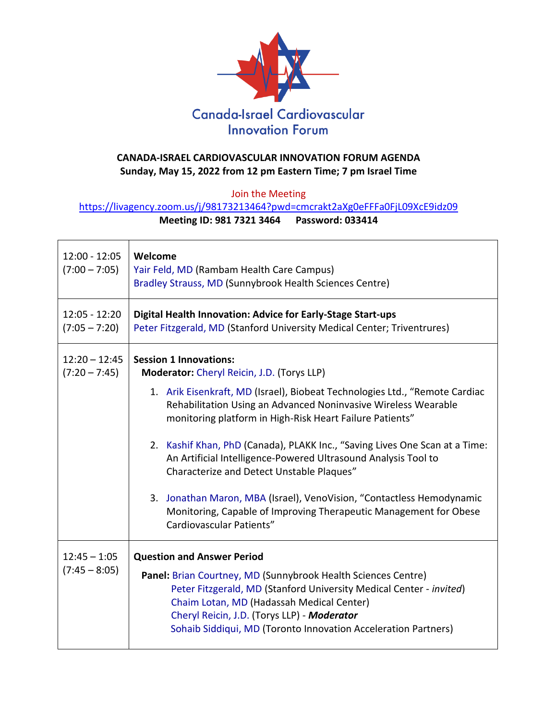

## **CANADA-ISRAEL CARDIOVASCULAR INNOVATION FORUM AGENDA Sunday, May 15, 2022 from 12 pm Eastern Time; 7 pm Israel Time**

Join the Meeting

<https://livagency.zoom.us/j/98173213464?pwd=cmcrakt2aXg0eFFFa0FjL09XcE9idz09>

## **Meeting ID: 981 7321 3464 Password: 033414**

| $12:00 - 12:05$<br>$(7:00 - 7:05)$ | Welcome<br>Yair Feld, MD (Rambam Health Care Campus)<br>Bradley Strauss, MD (Sunnybrook Health Sciences Centre)                                                                                                                                                                                                                         |
|------------------------------------|-----------------------------------------------------------------------------------------------------------------------------------------------------------------------------------------------------------------------------------------------------------------------------------------------------------------------------------------|
| $12:05 - 12:20$<br>$(7:05 - 7:20)$ | Digital Health Innovation: Advice for Early-Stage Start-ups<br>Peter Fitzgerald, MD (Stanford University Medical Center; Triventrures)                                                                                                                                                                                                  |
| $12:20 - 12:45$<br>$(7:20 - 7:45)$ | <b>Session 1 Innovations:</b><br>Moderator: Cheryl Reicin, J.D. (Torys LLP)                                                                                                                                                                                                                                                             |
|                                    | 1. Arik Eisenkraft, MD (Israel), Biobeat Technologies Ltd., "Remote Cardiac<br>Rehabilitation Using an Advanced Noninvasive Wireless Wearable<br>monitoring platform in High-Risk Heart Failure Patients"                                                                                                                               |
|                                    | 2. Kashif Khan, PhD (Canada), PLAKK Inc., "Saving Lives One Scan at a Time:<br>An Artificial Intelligence-Powered Ultrasound Analysis Tool to<br>Characterize and Detect Unstable Plaques"                                                                                                                                              |
|                                    | 3. Jonathan Maron, MBA (Israel), VenoVision, "Contactless Hemodynamic<br>Monitoring, Capable of Improving Therapeutic Management for Obese<br>Cardiovascular Patients"                                                                                                                                                                  |
| $12:45 - 1:05$<br>$(7:45 - 8:05)$  | <b>Question and Answer Period</b><br>Panel: Brian Courtney, MD (Sunnybrook Health Sciences Centre)<br>Peter Fitzgerald, MD (Stanford University Medical Center - invited)<br>Chaim Lotan, MD (Hadassah Medical Center)<br>Cheryl Reicin, J.D. (Torys LLP) - Moderator<br>Sohaib Siddiqui, MD (Toronto Innovation Acceleration Partners) |